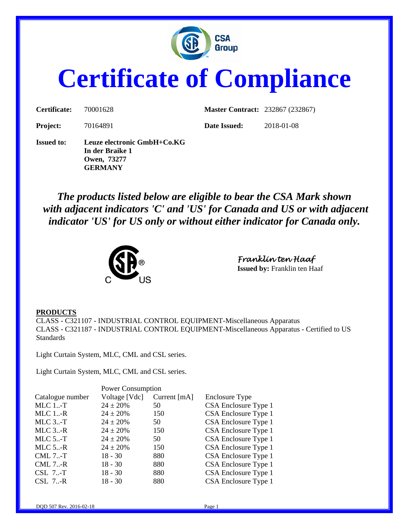

# **Certificate of Compliance**

| Certificate:      | 70001628                                                                 | <b>Master Contract: 232867 (232867)</b> |            |
|-------------------|--------------------------------------------------------------------------|-----------------------------------------|------------|
| <b>Project:</b>   | 70164891                                                                 | Date Issued:                            | 2018-01-08 |
| <b>Issued to:</b> | Leuze electronic GmbH+Co.KG<br>In der Braike 1<br>Owen, 73277<br>GERMANY |                                         |            |

*The products listed below are eligible to bear the CSA Mark shown with adjacent indicators 'C' and 'US' for Canada and US or with adjacent indicator 'US' for US only or without either indicator for Canada only.* 



*Franklin ten Haaf*  **Issued by:** Franklin ten Haaf

#### **PRODUCTS**

CLASS - C321107 - INDUSTRIAL CONTROL EQUIPMENT-Miscellaneous Apparatus CLASS - C321187 - INDUSTRIAL CONTROL EQUIPMENT-Miscellaneous Apparatus - Certified to US Standards

Light Curtain System, MLC, CML and CSL series.

Light Curtain System, MLC, CML and CSL series.

| Voltage [Vdc] | Current [mA] | Enclosure Type           |
|---------------|--------------|--------------------------|
| $24 \pm 20\%$ | 50           | CSA Enclosure Type 1     |
| $24 \pm 20\%$ | 150          | CSA Enclosure Type 1     |
| $24 \pm 20\%$ | 50           | CSA Enclosure Type 1     |
| $24 \pm 20\%$ | 150          | CSA Enclosure Type 1     |
| $24 \pm 20\%$ | 50           | CSA Enclosure Type 1     |
| $24 \pm 20\%$ | 150          | CSA Enclosure Type 1     |
| $18 - 30$     | 880          | CSA Enclosure Type 1     |
| $18 - 30$     | 880          | CSA Enclosure Type 1     |
| $18 - 30$     | 880          | CSA Enclosure Type 1     |
| $18 - 30$     | 880          | CSA Enclosure Type 1     |
|               |              | <b>Power Consumption</b> |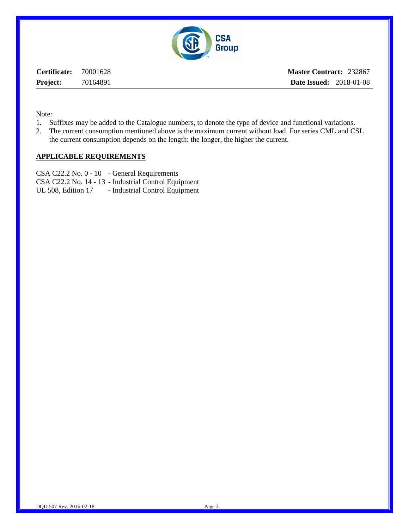

**Certificate:** 70001628 **Project:** 70164891 **Master Contract:** 232867 **Date Issued:** 2018-01-08

Note:

- 1. Suffixes may be added to the Catalogue numbers, to denote the type of device and functional variations.
- 2. The current consumption mentioned above is the maximum current without load. For series CML and CSL the current consumption depends on the length: the longer, the higher the current.

#### **APPLICABLE REQUIREMENTS**

CSA C22.2 No. 0 - 10 - General Requirements CSA C22.2 No. 14 - 13 - Industrial Control Equipment UL 508, Edition 17 - Industrial Control Equipment